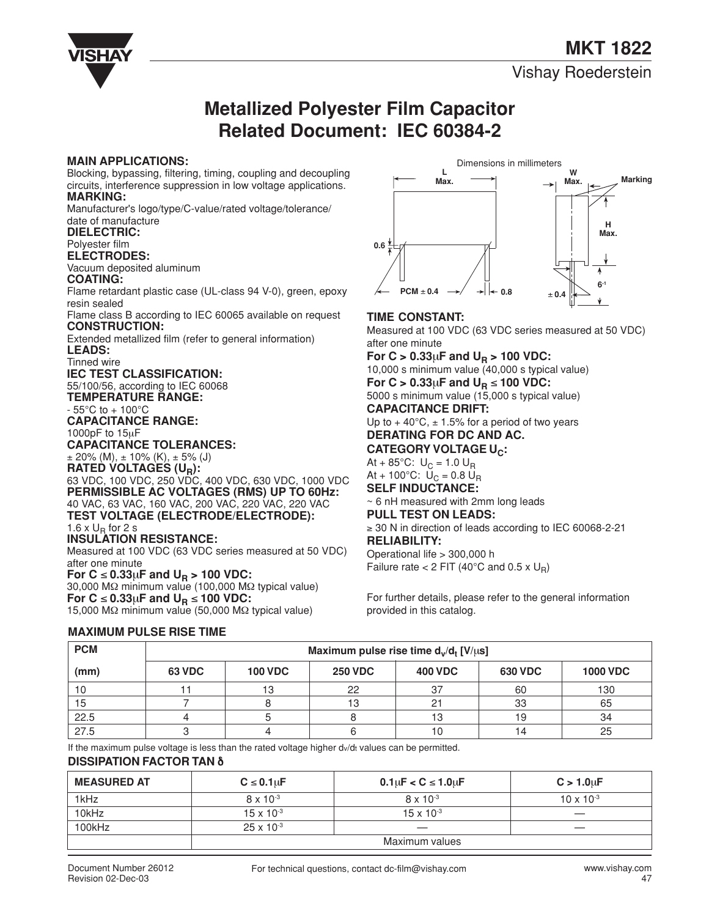**MKT 1822**

Vishay Roederstein



## **Metallized Polyester Film Capacitor Related Document: IEC 60384-2**

#### **MAIN APPLICATIONS:**

Blocking, bypassing, filtering, timing, coupling and decoupling circuits, interference suppression in low voltage applications. **MARKING:**

Manufacturer's logo/type/C-value/rated voltage/tolerance/ date of manufacture

#### **DIELECTRIC:**

## Polyester film

**ELECTRODES:**

#### Vacuum deposited aluminum **COATING:**

Flame retardant plastic case (UL-class 94 V-0), green, epoxy resin sealed

Flame class B according to IEC 60065 available on request **CONSTRUCTION:**

Extended metallized film (refer to general information)

## **LEADS:**

Tinned wire **IEC TEST CLASSIFICATION:**

55/100/56, according to IEC 60068 **TEMPERATURE RANGE:**

 $-55^{\circ}$ C to  $+100^{\circ}$ C

**CAPACITANCE RANGE:**

1000pF to 15µF

**CAPACITANCE TOLERANCES:**

 $\pm$  20% (M),  $\pm$  10% (K),  $\pm$  5% (J)

**RATED VOLTAGES (UR):** 63 VDC, 100 VDC, 250 VDC, 400 VDC, 630 VDC, 1000 VDC **PERMISSIBLE AC VOLTAGES (RMS) UP TO 60Hz:** 40 VAC, 63 VAC, 160 VAC, 200 VAC, 220 VAC, 220 VAC **TEST VOLTAGE (ELECTRODE/ELECTRODE):** 1.6 x  $U_R$  for 2 s

## **INSULATION RESISTANCE:**

Measured at 100 VDC (63 VDC series measured at 50 VDC) after one minute For  $C \le 0.33\mu F$  and  $U_R > 100$  VDC: 30,000 MΩ minimum value (100,000 MΩ typical value) For  $C$  ≤ 0.33µ**F** and  $U_R$  ≤ 100 VDC: 15,000 MΩ minimum value (50,000 MΩ typical value)

#### Dimensions in millimeters**L W Max. Marking H Max. 0.6** ۸ **6-1 PCM** ± **0.4 0.8** ± **0.4**

#### **TIME CONSTANT:**

Measured at 100 VDC (63 VDC series measured at 50 VDC) after one minute

**For C > 0.33** $\mu$ **F and U<sub>R</sub> > 100 VDC:** 10,000 s minimum value (40,000 s typical value)

For  $C > 0.33\mu$ F and  $U_R \le 100$  VDC: 5000 s minimum value (15,000 s typical value)

#### **CAPACITANCE DRIFT:**

Up to  $+40^{\circ}$ C,  $\pm$  1.5% for a period of two years

## **DERATING FOR DC AND AC.**

**CATEGORY VOLTAGE U.** At + 85°C:  $U_C = 1.0 U_R$ 

At + 100°C:  $U_C = 0.8 U_R$ 

**SELF INDUCTANCE:**

~ 6 nH measured with 2mm long leads

### **PULL TEST ON LEADS:**

≥ 30 N in direction of leads according to IEC 60068-2-21 **RELIABILITY:**

### Operational life > 300,000 h

Failure rate  $< 2$  FIT (40°C and 0.5 x U<sub>R</sub>)

For further details, please refer to the general information provided in this catalog.

### **MAXIMUM PULSE RISE TIME**

| <b>PCM</b> | Maximum pulse rise time $d_v/d_t$ [V/ $\mu$ s] |                |                |                |     |                 |  |  |  |  |  |
|------------|------------------------------------------------|----------------|----------------|----------------|-----|-----------------|--|--|--|--|--|
| (mm)       | <b>63 VDC</b>                                  | <b>100 VDC</b> | <b>250 VDC</b> | <b>400 VDC</b> |     | <b>1000 VDC</b> |  |  |  |  |  |
| 10         |                                                |                | 22             | 37             | 60  | 130             |  |  |  |  |  |
| 15         |                                                |                | $\sim$         |                | 33  | 65              |  |  |  |  |  |
| 22.5       |                                                |                |                | IЗ             | 19  | 34              |  |  |  |  |  |
| 27.5       |                                                |                |                | 10             | , 4 | 25              |  |  |  |  |  |

If the maximum pulse voltage is less than the rated voltage higher dv/dt values can be permitted.

#### **DISSIPATION FACTOR TAN** δ

| <b>MEASURED AT</b> | $C \leq 0.1$ uF     | $0.1 \mu F < C \le 1.0 \mu F$ | $C > 1.0 \mu F$     |  |  |  |
|--------------------|---------------------|-------------------------------|---------------------|--|--|--|
| 1kHz               | $8 \times 10^{-3}$  | $8 \times 10^{-3}$            | $10 \times 10^{-3}$ |  |  |  |
| 10kHz              | $15 \times 10^{-3}$ | $15 \times 10^{-3}$           | —                   |  |  |  |
| 100kHz             | $25 \times 10^{-3}$ |                               |                     |  |  |  |
|                    | Maximum values      |                               |                     |  |  |  |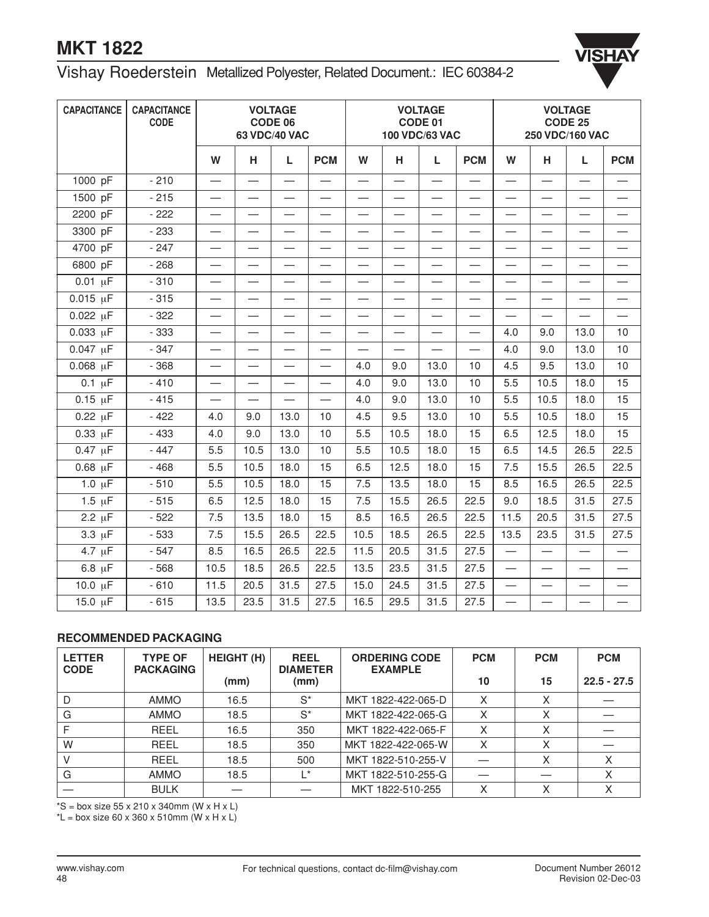# **MKT 1822**



## Vishay Roederstein Metallized Polyester, Related Document.: IEC 60384-2

| <b>CAPACITANCE</b> | <b>CAPACITANCE</b><br><b>CODE</b> | <b>VOLTAGE</b><br>CODE 06<br>63 VDC/40 VAC |                          |                          |                          | <b>VOLTAGE</b><br>CODE 01<br>100 VDC/63 VAC |                          |      | <b>VOLTAGE</b><br><b>CODE 25</b><br>250 VDC/160 VAC |                          |                          |                                  |                          |
|--------------------|-----------------------------------|--------------------------------------------|--------------------------|--------------------------|--------------------------|---------------------------------------------|--------------------------|------|-----------------------------------------------------|--------------------------|--------------------------|----------------------------------|--------------------------|
|                    |                                   | W                                          | н                        | L                        | <b>PCM</b>               | W                                           | н                        | L    | <b>PCM</b>                                          | W                        | н                        | L                                | <b>PCM</b>               |
| 1000 pF            | $-210$                            |                                            | $\overline{\phantom{0}}$ | $\overline{\phantom{0}}$ |                          | $\overline{\phantom{0}}$                    | $\overline{\phantom{0}}$ |      |                                                     |                          |                          |                                  |                          |
| 1500 pF            | $-215$                            |                                            |                          |                          |                          |                                             |                          |      |                                                     |                          |                          |                                  |                          |
| 2200 pF            | $-222$                            | $\overline{\phantom{0}}$                   | $\overline{\phantom{0}}$ | $\overline{\phantom{0}}$ | $\overline{\phantom{0}}$ | $\overline{\phantom{0}}$                    | $\overline{\phantom{0}}$ |      | $\overline{\phantom{0}}$                            | $\overline{\phantom{0}}$ | $\overline{\phantom{0}}$ | $\overline{\phantom{0}}$         |                          |
| 3300 pF            | $-233$                            |                                            | $\overline{\phantom{0}}$ | $\overline{\phantom{0}}$ |                          | $\overline{\phantom{0}}$                    |                          |      | $\overline{\phantom{0}}$                            | $\overline{\phantom{0}}$ |                          | $\overline{\phantom{0}}$         |                          |
| 4700 pF            | $-247$                            |                                            |                          |                          |                          | $\overline{\phantom{0}}$                    |                          |      |                                                     |                          |                          |                                  |                          |
| 6800 pF            | $-268$                            | $\overline{\phantom{0}}$                   |                          | $\overline{\phantom{0}}$ |                          | $\overline{\phantom{0}}$                    |                          |      |                                                     | $\overline{\phantom{0}}$ |                          |                                  |                          |
| $0.01 \mu F$       | $-310$                            |                                            | $\overline{\phantom{0}}$ |                          |                          | $\overline{\phantom{0}}$                    | —                        |      | $\overline{\phantom{0}}$                            | $\overline{\phantom{0}}$ | $\overline{\phantom{0}}$ | $\overline{\phantom{0}}$         |                          |
| $0.015 \mu F$      | $-315$                            | $\overline{\phantom{0}}$                   | $\overline{\phantom{0}}$ | $\overline{\phantom{0}}$ | $\overline{\phantom{0}}$ | $\overline{\phantom{0}}$                    | $\overline{\phantom{0}}$ |      | $\overline{\phantom{0}}$                            | $\overline{\phantom{0}}$ |                          | $\overline{\phantom{0}}$         | $\overline{\phantom{0}}$ |
| $0.022 \mu F$      | $-322$                            |                                            | $\overline{\phantom{0}}$ |                          |                          | $\overline{\phantom{0}}$                    |                          |      |                                                     |                          |                          |                                  |                          |
| $0.033 \mu F$      | $-333$                            | $\overline{\phantom{0}}$                   |                          |                          |                          |                                             |                          |      |                                                     | 4.0                      | 9.0                      | 13.0                             | 10                       |
| $0.047 \mu F$      | $-347$                            |                                            |                          |                          |                          |                                             |                          |      |                                                     | 4.0                      | 9.0                      | 13.0                             | 10                       |
| $0.068 \mu F$      | $-368$                            | $\overline{\phantom{0}}$                   | $\overline{\phantom{0}}$ | $\overline{\phantom{0}}$ | $\overline{\phantom{0}}$ | 4.0                                         | 9.0                      | 13.0 | 10                                                  | 4.5                      | 9.5                      | 13.0                             | 10                       |
| $0.1 \mu F$        | $-410$                            | $\overline{\phantom{0}}$                   | $\overline{\phantom{0}}$ | $\overline{\phantom{0}}$ | $\overline{\phantom{0}}$ | 4.0                                         | 9.0                      | 13.0 | 10                                                  | 5.5                      | 10.5                     | 18.0                             | 15                       |
| $0.15 \mu F$       | $-415$                            |                                            | $\overline{\phantom{0}}$ | $\overline{\phantom{0}}$ |                          | 4.0                                         | 9.0                      | 13.0 | 10                                                  | 5.5                      | 10.5                     | 18.0                             | 15                       |
| $0.22 \mu F$       | $-422$                            | 4.0                                        | 9.0                      | 13.0                     | 10                       | 4.5                                         | 9.5                      | 13.0 | 10                                                  | 5.5                      | 10.5                     | 18.0                             | 15                       |
| $0.33 \mu F$       | $-433$                            | 4.0                                        | 9.0                      | 13.0                     | 10                       | 5.5                                         | 10.5                     | 18.0 | 15                                                  | 6.5                      | 12.5                     | 18.0                             | 15                       |
| $0.47 \mu F$       | $-447$                            | 5.5                                        | 10.5                     | 13.0                     | 10                       | 5.5                                         | 10.5                     | 18.0 | 15                                                  | 6.5                      | 14.5                     | 26.5                             | 22.5                     |
| $0.68 \mu F$       | $-468$                            | 5.5                                        | 10.5                     | 18.0                     | 15                       | 6.5                                         | 12.5                     | 18.0 | 15                                                  | 7.5                      | 15.5                     | 26.5                             | 22.5                     |
| $1.0 \mu F$        | $-510$                            | 5.5                                        | 10.5                     | 18.0                     | 15                       | 7.5                                         | 13.5                     | 18.0 | $\overline{15}$                                     | 8.5                      | 16.5                     | 26.5                             | 22.5                     |
| $1.5 \mu F$        | $-515$                            | 6.5                                        | 12.5                     | 18.0                     | 15                       | 7.5                                         | 15.5                     | 26.5 | 22.5                                                | 9.0                      | 18.5                     | 31.5                             | 27.5                     |
| $2.2 \mu F$        | $-522$                            | 7.5                                        | 13.5                     | 18.0                     | 15                       | 8.5                                         | 16.5                     | 26.5 | 22.5                                                | 11.5                     | 20.5                     | 31.5                             | 27.5                     |
| $3.3 \mu F$        | $-533$                            | 7.5                                        | 15.5                     | 26.5                     | 22.5                     | 10.5                                        | 18.5                     | 26.5 | 22.5                                                | 13.5                     | 23.5                     | 31.5                             | 27.5                     |
| $4.7 \mu F$        | $-547$                            | 8.5                                        | 16.5                     | 26.5                     | 22.5                     | 11.5                                        | 20.5                     | 31.5 | 27.5                                                | $\overline{\phantom{0}}$ |                          | $\overbrace{\phantom{12321111}}$ |                          |
| $6.8 \mu F$        | $-568$                            | 10.5                                       | 18.5                     | 26.5                     | 22.5                     | 13.5                                        | 23.5                     | 31.5 | 27.5                                                | $\overline{\phantom{0}}$ | $\overline{\phantom{0}}$ |                                  |                          |
| 10.0 µF            | $-610$                            | 11.5                                       | 20.5                     | 31.5                     | 27.5                     | 15.0                                        | 24.5                     | 31.5 | 27.5                                                | $\overline{\phantom{0}}$ | $\overline{\phantom{0}}$ |                                  |                          |
| 15.0 µF            | $-615$                            | 13.5                                       | 23.5                     | 31.5                     | 27.5                     | 16.5                                        | 29.5                     | 31.5 | 27.5                                                | $\overline{\phantom{0}}$ | $\overline{\phantom{0}}$ | $\overline{\phantom{0}}$         |                          |

### **RECOMMENDED PACKAGING**

| <b>LETTER</b><br><b>CODE</b> | <b>TYPE OF</b><br><b>PACKAGING</b> | <b>HEIGHT (H)</b> | <b>REEL</b><br><b>DIAMETER</b> | <b>ORDERING CODE</b><br><b>EXAMPLE</b> | <b>PCM</b> | <b>PCM</b> | <b>PCM</b>    |
|------------------------------|------------------------------------|-------------------|--------------------------------|----------------------------------------|------------|------------|---------------|
|                              |                                    | (mm)              | (mm)                           |                                        | 10         | 15         | $22.5 - 27.5$ |
| D                            | <b>AMMO</b>                        | 16.5              | $S^*$                          | MKT 1822-422-065-D                     | X          | X          |               |
| G                            | <b>AMMO</b>                        | 18.5              | $S^*$                          | MKT 1822-422-065-G                     | X          | X          |               |
|                              | REEL                               | 16.5              | 350                            | MKT 1822-422-065-F                     | X          | X          |               |
| W                            | <b>REEL</b>                        | 18.5              | 350                            | MKT 1822-422-065-W                     | X          | Χ          |               |
|                              | <b>REEL</b>                        | 18.5              | 500                            | MKT 1822-510-255-V                     |            | X          | X             |
| G                            | <b>AMMO</b>                        | 18.5              | $\mathsf{I}^*$                 | MKT 1822-510-255-G                     |            |            | X             |
|                              | <b>BULK</b>                        |                   |                                | MKT 1822-510-255                       |            |            |               |

 $*S = box size 55 \times 210 \times 340 \text{mm}$  (W  $\times H \times L$ )

 $*L = box$  size 60 x 360 x 510mm (W x H x L)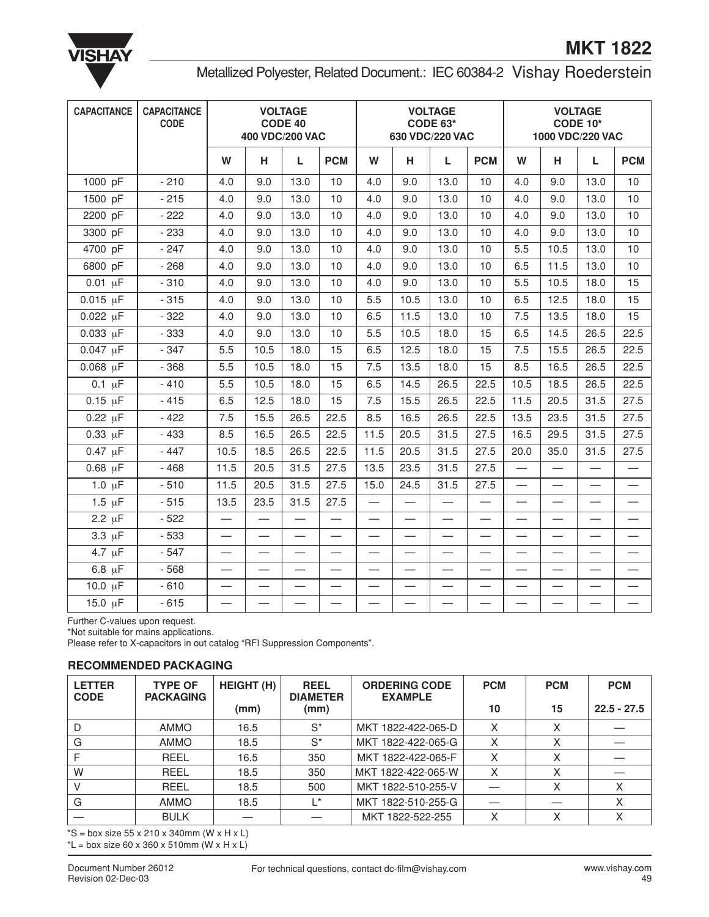

## Metallized Polyester, Related Document.: IEC 60384-2 Vishay Roederstein

| <b>CAPACITANCE</b>  | <b>CAPACITANCE</b><br><b>CODE</b> | <b>VOLTAGE</b><br><b>CODE 40</b><br>400 VDC/200 VAC |                          |                          |                          | <b>VOLTAGE</b><br>CODE 63*<br>630 VDC/220 VAC |                          |                          | <b>VOLTAGE</b><br><b>CODE 10*</b><br>1000 VDC/220 VAC |                          |                          |                          |                          |
|---------------------|-----------------------------------|-----------------------------------------------------|--------------------------|--------------------------|--------------------------|-----------------------------------------------|--------------------------|--------------------------|-------------------------------------------------------|--------------------------|--------------------------|--------------------------|--------------------------|
|                     |                                   | W                                                   | н                        | L                        | <b>PCM</b>               | W                                             | н                        | L                        | <b>PCM</b>                                            | W                        | н                        | L                        | <b>PCM</b>               |
| 1000 pF             | $-210$                            | 4.0                                                 | 9.0                      | 13.0                     | 10                       | 4.0                                           | 9.0                      | 13.0                     | 10                                                    | 4.0                      | 9.0                      | 13.0                     | 10                       |
| 1500 pF             | $-215$                            | 4.0                                                 | 9.0                      | 13.0                     | 10                       | 4.0                                           | 9.0                      | 13.0                     | 10                                                    | 4.0                      | 9.0                      | 13.0                     | 10                       |
| 2200 pF             | $-222$                            | 4.0                                                 | 9.0                      | 13.0                     | 10                       | 4.0                                           | 9.0                      | 13.0                     | 10                                                    | 4.0                      | 9.0                      | 13.0                     | 10                       |
| 3300 pF             | $-233$                            | 4.0                                                 | 9.0                      | 13.0                     | 10                       | 4.0                                           | 9.0                      | 13.0                     | 10                                                    | 4.0                      | 9.0                      | 13.0                     | 10                       |
| 4700 pF             | $-247$                            | 4.0                                                 | 9.0                      | 13.0                     | 10                       | 4.0                                           | 9.0                      | 13.0                     | 10                                                    | 5.5                      | 10.5                     | 13.0                     | 10                       |
| 6800 pF             | $-268$                            | 4.0                                                 | 9.0                      | 13.0                     | 10                       | 4.0                                           | 9.0                      | 13.0                     | 10                                                    | 6.5                      | 11.5                     | 13.0                     | 10                       |
| $0.01 \mu F$        | $-310$                            | 4.0                                                 | 9.0                      | 13.0                     | 10                       | 4.0                                           | 9.0                      | 13.0                     | 10                                                    | 5.5                      | 10.5                     | 18.0                     | 15                       |
| $0.015 \mu F$       | $-315$                            | 4.0                                                 | 9.0                      | 13.0                     | 10                       | 5.5                                           | 10.5                     | 13.0                     | 10                                                    | 6.5                      | 12.5                     | 18.0                     | 15                       |
| $0.022 \mu F$       | $-322$                            | 4.0                                                 | 9.0                      | 13.0                     | 10                       | 6.5                                           | 11.5                     | 13.0                     | 10                                                    | 7.5                      | 13.5                     | 18.0                     | 15                       |
| $0.033 \mu F$       | $-333$                            | 4.0                                                 | 9.0                      | 13.0                     | 10                       | 5.5                                           | 10.5                     | 18.0                     | 15                                                    | 6.5                      | 14.5                     | 26.5                     | 22.5                     |
| $0.047 \text{ µF}$  | $-347$                            | 5.5                                                 | 10.5                     | 18.0                     | 15                       | 6.5                                           | 12.5                     | 18.0                     | 15                                                    | 7.5                      | 15.5                     | 26.5                     | 22.5                     |
| $0.068 \mu F$       | $-368$                            | 5.5                                                 | 10.5                     | 18.0                     | 15                       | 7.5                                           | 13.5                     | 18.0                     | 15                                                    | 8.5                      | 16.5                     | 26.5                     | 22.5                     |
| $\overline{0.1}$ µF | $-410$                            | 5.5                                                 | 10.5                     | 18.0                     | 15                       | 6.5                                           | 14.5                     | 26.5                     | 22.5                                                  | 10.5                     | 18.5                     | 26.5                     | 22.5                     |
| $0.15 \mu F$        | $-415$                            | 6.5                                                 | 12.5                     | 18.0                     | 15                       | 7.5                                           | 15.5                     | 26.5                     | 22.5                                                  | 11.5                     | 20.5                     | 31.5                     | 27.5                     |
| $0.22 \mu F$        | $-422$                            | 7.5                                                 | 15.5                     | 26.5                     | 22.5                     | 8.5                                           | 16.5                     | 26.5                     | 22.5                                                  | 13.5                     | 23.5                     | 31.5                     | 27.5                     |
| $0.33 \mu F$        | $-433$                            | 8.5                                                 | 16.5                     | 26.5                     | 22.5                     | 11.5                                          | 20.5                     | 31.5                     | 27.5                                                  | 16.5                     | 29.5                     | 31.5                     | 27.5                     |
| $0.47 \mu F$        | $-447$                            | 10.5                                                | 18.5                     | 26.5                     | 22.5                     | 11.5                                          | 20.5                     | 31.5                     | 27.5                                                  | 20.0                     | 35.0                     | 31.5                     | 27.5                     |
| $0.68$ $\mu$ F      | $-468$                            | 11.5                                                | 20.5                     | 31.5                     | 27.5                     | 13.5                                          | 23.5                     | 31.5                     | 27.5                                                  | $\overline{\phantom{0}}$ |                          |                          |                          |
| $1.0 \mu F$         | $-510$                            | 11.5                                                | 20.5                     | 31.5                     | 27.5                     | 15.0                                          | 24.5                     | 31.5                     | 27.5                                                  | $\overline{\phantom{0}}$ | $\overline{\phantom{0}}$ | $\overline{\phantom{0}}$ |                          |
| $1.5 \mu F$         | $-515$                            | 13.5                                                | 23.5                     | 31.5                     | 27.5                     | $\overline{\phantom{0}}$                      |                          |                          |                                                       |                          |                          |                          |                          |
| $2.2 \mu F$         | $-522$                            | $\overline{\phantom{0}}$                            | $\overline{\phantom{0}}$ |                          | $\equiv$                 | $\overline{\phantom{0}}$                      | $\equiv$                 | $\overline{\phantom{0}}$ | $\overline{\phantom{0}}$                              | $\overline{\phantom{0}}$ |                          | $\overline{\phantom{0}}$ |                          |
| $3.3 \mu F$         | $-533$                            | $\overline{\phantom{0}}$                            | $\overline{\phantom{0}}$ |                          | $\overline{\phantom{0}}$ | $\equiv$                                      |                          | $\overline{\phantom{0}}$ | $\overline{\phantom{0}}$                              |                          | $\overline{\phantom{0}}$ | $\overline{\phantom{0}}$ |                          |
| $4.7 \mu F$         | $-547$                            |                                                     |                          |                          |                          |                                               |                          |                          |                                                       |                          |                          |                          |                          |
| $6.8 \mu F$         | $-568$                            | $\overline{\phantom{0}}$                            | $\overline{\phantom{0}}$ |                          |                          | $\overline{\phantom{0}}$                      |                          | $\overline{\phantom{0}}$ | $\overline{\phantom{0}}$                              | $\overline{\phantom{0}}$ | $\overline{\phantom{0}}$ | $\overline{\phantom{0}}$ |                          |
| 10.0 µF             | $-610$                            | $\overline{\phantom{0}}$                            | $\overline{\phantom{0}}$ |                          | $\overline{\phantom{0}}$ | $\overline{\phantom{0}}$                      | $\overline{\phantom{0}}$ | $\equiv$                 | $\overline{\phantom{0}}$                              |                          | $\equiv$                 | $\overline{\phantom{0}}$ | $\overline{\phantom{0}}$ |
| 15.0 µF             | $-615$                            | —                                                   |                          | $\overline{\phantom{0}}$ | —                        | $\overline{\phantom{0}}$                      | $\overline{\phantom{0}}$ |                          |                                                       | —                        |                          |                          |                          |

Further C-values upon request.

\*Not suitable for mains applications.

Please refer to X-capacitors in out catalog "RFI Suppression Components".

#### **RECOMMENDED PACKAGING**

| <b>LETTER</b><br><b>CODE</b> | <b>TYPE OF</b><br><b>PACKAGING</b> | <b>HEIGHT (H)</b> | <b>REEL</b><br><b>DIAMETER</b> | <b>ORDERING CODE</b><br><b>EXAMPLE</b> | <b>PCM</b> | <b>PCM</b> | <b>PCM</b>    |
|------------------------------|------------------------------------|-------------------|--------------------------------|----------------------------------------|------------|------------|---------------|
|                              |                                    | (mm)              | (mm)                           |                                        | 10         | 15         | $22.5 - 27.5$ |
|                              | <b>AMMO</b>                        | 16.5              | $S^*$                          | MKT 1822-422-065-D                     | X          | Χ          |               |
| G                            | <b>AMMO</b>                        | 18.5              | $S^*$                          | MKT 1822-422-065-G                     |            | X          |               |
|                              | <b>REEL</b>                        | 16.5              | 350                            | MKT 1822-422-065-F                     | X          | X          |               |
| W                            | REEL                               | 18.5              | 350                            | MKT 1822-422-065-W                     | X          | X          |               |
|                              | REEL                               | 18.5              | 500                            | MKT 1822-510-255-V                     |            | X          |               |
| G                            | <b>AMMO</b>                        | 18.5              | $\mathsf{I}^*$                 | MKT 1822-510-255-G                     |            |            | X             |
|                              | <b>BULK</b>                        |                   |                                | MKT 1822-522-255                       | Χ          | X          | X             |

 $*S = box size 55 x 210 x 340mm (W x H x L)$  $*L = box$  size 60 x 360 x 510mm (W x H x L)